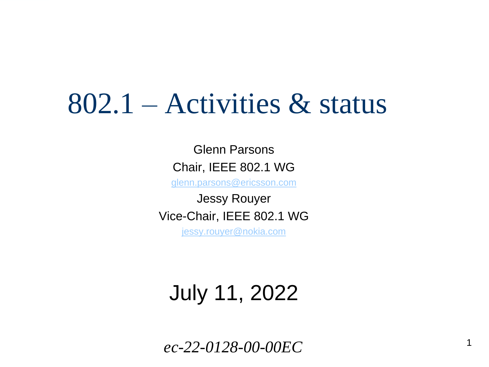## 802.1 – Activities & status

Glenn Parsons Chair, IEEE 802.1 WG

[glenn.parsons@ericsson.com](mailto:glenn.parsons@ericsson.com)

Jessy Rouyer Vice-Chair, IEEE 802.1 WG [jessy.rouyer@nokia.com](mailto:jessy.rouyer@nokia.com)

July 11, 2022

*ec-22-0128-00-00EC*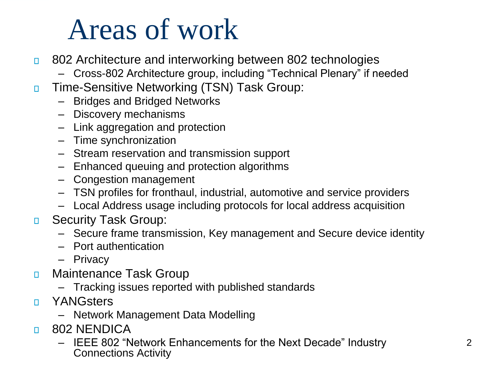# Areas of work

- 802 Architecture and interworking between 802 technologies  $\Box$ 
	- Cross-802 Architecture group, including "Technical Plenary" if needed
- Time-Sensitive Networking (TSN) Task Group:  $\Box$ 
	- Bridges and Bridged Networks
	- Discovery mechanisms
	- Link aggregation and protection
	- Time synchronization
	- Stream reservation and transmission support
	- Enhanced queuing and protection algorithms
	- Congestion management
	- TSN profiles for fronthaul, industrial, automotive and service providers
	- Local Address usage including protocols for local address acquisition
- Security Task Group:  $\Box$ 
	- Secure frame transmission, Key management and Secure device identity
	- Port authentication
	- Privacy
- Maintenance Task Group  $\Box$ 
	- Tracking issues reported with published standards
- **YANGsters**  $\Box$ 
	- Network Management Data Modelling
- 802 NENDICA  $\Box$ 
	- IEEE 802 "Network Enhancements for the Next Decade" Industry Connections Activity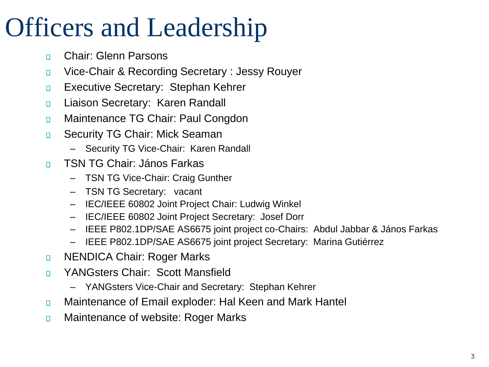## Officers and Leadership

- Chair: Glenn Parsons  $\Box$
- Vice-Chair & Recording Secretary : Jessy Rouyer  $\Box$
- Executive Secretary: Stephan Kehrer  $\Box$
- Liaison Secretary: Karen Randall  $\Box$
- Maintenance TG Chair: Paul Congdon  $\Box$
- Security TG Chair: Mick Seaman  $\Box$ 
	- Security TG Vice-Chair: Karen Randall
- TSN TG Chair: János Farkas  $\Box$ 
	- TSN TG Vice-Chair: Craig Gunther
	- TSN TG Secretary: vacant
	- IEC/IEEE 60802 Joint Project Chair: Ludwig Winkel
	- IEC/IEEE 60802 Joint Project Secretary: Josef Dorr
	- IEEE P802.1DP/SAE AS6675 joint project co-Chairs: Abdul Jabbar & János Farkas
	- IEEE P802.1DP/SAE AS6675 joint project Secretary: Marina Gutiérrez
- NENDICA Chair: Roger Marks  $\Box$
- YANGsters Chair: Scott Mansfield  $\Box$ 
	- YANGsters Vice-Chair and Secretary: Stephan Kehrer
- Maintenance of Email exploder: Hal Keen and Mark Hantel  $\Box$
- Maintenance of website: Roger Marks  $\Box$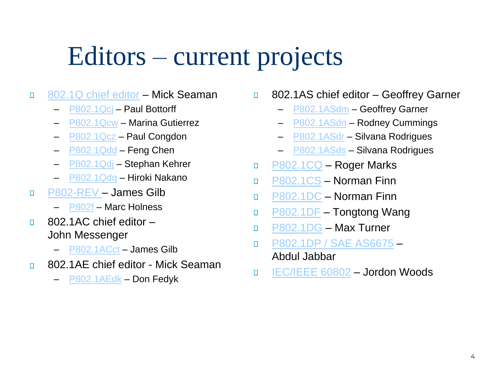### Editors – current projects

- [802.1Q chief editor](https://1.ieee802.org/maintenance/p802-1q-rev/) Mick Seaman  $\Box$ 
	- [P802.1Qcj](https://1.ieee802.org/tsn/802-1qcj/) Paul Bottorff
	- [P802.1Qcw](https://1.ieee802.org/tsn/802-1qcw/) Marina Gutierrez
	- [P802.1Qcz](https://1.ieee802.org/tsn/802-1qcz/) Paul Congdon
	- $-$  [P802.1Qdd](https://1.ieee802.org/tsn/802-1qdd/) Feng Chen
	- [P802.1Qdj](https://1.ieee802.org/tsn/802-1qdj/) Stephan Kehrer
	- [P802.1Qdq](https://1.ieee802.org/tsn/802-1qdq/) Hiroki Nakano
- [P802-REV](https://1.ieee802.org/tsn/802f/)  James Gilb  $\Box$ 
	- [P802f](https://1.ieee802.org/tsn/802f/) Marc Holness
- 802.1AC chief editor  $\Box$ John Messenger
	- [P802.1ACct](https://1.ieee802.org/maintenance/802-1acct/) James Gilb
- 802.1AE chief editor Mick Seaman П
	- [P802.1AEdk](https://1.ieee802.org/security/802-1aedk/) Don Fedyk
- 802.1AS chief editor Geoffrey Garner  $\Box$ 
	- [P802.1ASdm](https://1.ieee802.org/802-1dm/) Geoffrey Garner
	- [P802.1ASdn](https://1.ieee802.org/tsn/802-1asdn/) Rodney Cummings
	- [P802.1ASdr](https://1.ieee802.org/maintenance/802-1asdr/) Silvana Rodrigues
	- [P802.1ASds](https://1.ieee802.org/maintenance/802-1asdr/) Silvana Rodrigues
- [P802.1CQ](https://1.ieee802.org/tsn/802-1cq/) Roger Marks  $\Box$
- [P802.1CS](https://1.ieee802.org/tsn/802-1cs/) Norman Finn  $\Box$
- [P802.1DC](https://1.ieee802.org/tsn/802-1dc/) Norman Finn  $\Box$
- [P802.1DF](https://1.ieee802.org/tsn/802-1df/) Tongtong Wang  $\Box$
- [P802.1DG](https://1.ieee802.org/tsn/802-1dg/) Max Turner  $\Box$
- [P802.1DP / SAE AS6675](https://1.ieee802.org/tsn/802-1dp/)  $\Box$ Abdul Jabbar
- [IEC/IEEE 60802](https://1.ieee802.org/tsn/iec-ieee-60802/) Jordon Woods  $\Box$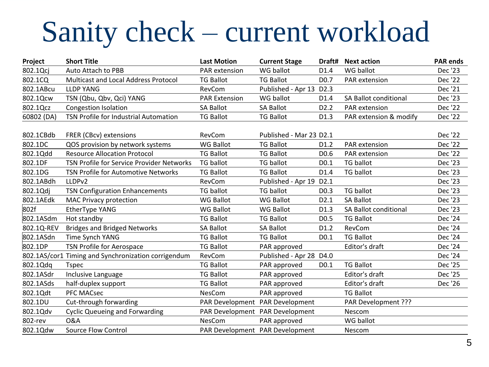# Sanity check – current workload

| Project    | <b>Short Title</b>                                  | <b>Last Motion</b>   | <b>Current Stage</b>            |                   | Draft# Next action           | <b>PAR ends</b> |
|------------|-----------------------------------------------------|----------------------|---------------------------------|-------------------|------------------------------|-----------------|
| 802.1Qcj   | Auto Attach to PBB                                  | PAR extension        | WG ballot                       | D <sub>1.4</sub>  | WG ballot                    | Dec '23         |
| 802.1CQ    | Multicast and Local Address Protocol                | <b>TG Ballot</b>     | <b>TG Ballot</b>                | D <sub>0.7</sub>  | PAR extension                | Dec '22         |
| 802.1ABcu  | <b>LLDP YANG</b>                                    | RevCom               | Published - Apr 13              | D <sub>2.3</sub>  |                              | Dec '21         |
| 802.1Qcw   | TSN (Qbu, Qbv, Qci) YANG                            | <b>PAR Extension</b> | WG ballot                       | D1.4              | <b>SA Ballot conditional</b> | Dec '23         |
| 802.1Qcz   | <b>Congestion Isolation</b>                         | <b>SA Ballot</b>     | <b>SA Ballot</b>                | D <sub>2</sub> .2 | PAR extension                | Dec '22         |
| 60802 (DA) | TSN Profile for Industrial Automation               | <b>TG Ballot</b>     | <b>TG Ballot</b>                | D1.3              | PAR extension & modify       | Dec '22         |
|            |                                                     |                      |                                 |                   |                              |                 |
| 802.1CBdb  | FRER (CBcv) extensions                              | RevCom               | Published - Mar 23 D2.1         |                   |                              | Dec '22         |
| 802.1DC    | QOS provision by network systems                    | <b>WG Ballot</b>     | <b>TG Ballot</b>                | D <sub>1.2</sub>  | PAR extension                | Dec '22         |
| 802.1Qdd   | <b>Resource Allocation Protocol</b>                 | <b>TG Ballot</b>     | <b>TG Ballot</b>                | D <sub>0.6</sub>  | PAR extension                | Dec '22         |
| 802.1DF    | TSN Profile for Service Provider Networks           | <b>TG ballot</b>     | <b>TG ballot</b>                | D <sub>0.1</sub>  | <b>TG ballot</b>             | Dec '23         |
| 802.1DG    | TSN Profile for Automotive Networks                 | <b>TG Ballot</b>     | <b>TG Ballot</b>                | D <sub>1.4</sub>  | <b>TG ballot</b>             | Dec '23         |
| 802.1ABdh  | LLDPv2                                              | RevCom               | Published - Apr 19              | D <sub>2.1</sub>  |                              | Dec '23         |
| 802.1Qdj   | <b>TSN Configuration Enhancements</b>               | <b>TG ballot</b>     | <b>TG ballot</b>                | D <sub>0.3</sub>  | <b>TG ballot</b>             | Dec '23         |
| 802.1AEdk  | <b>MAC Privacy protection</b>                       | <b>WG Ballot</b>     | <b>WG Ballot</b>                | D2.1              | <b>SA Ballot</b>             | Dec '23         |
| 802f       | EtherType YANG                                      | <b>WG Ballot</b>     | <b>WG Ballot</b>                | D1.3              | <b>SA Ballot conditional</b> | Dec '23         |
| 802.1ASdm  | Hot standby                                         | <b>TG Ballot</b>     | <b>TG Ballot</b>                | D <sub>0.5</sub>  | <b>TG Ballot</b>             | Dec '24         |
| 802.1Q-REV | <b>Bridges and Bridged Networks</b>                 | <b>SA Ballot</b>     | <b>SA Ballot</b>                | D1.2              | RevCom                       | Dec '24         |
| 802.1ASdn  | Time Synch YANG                                     | <b>TG Ballot</b>     | <b>TG Ballot</b>                | D <sub>0.1</sub>  | <b>TG Ballot</b>             | Dec '24         |
| 802.1DP    | TSN Profile for Aerospace                           | <b>TG Ballot</b>     | PAR approved                    |                   | Editor's draft               | Dec '24         |
|            | 802.1AS/cor1 Timing and Synchronization corrigendum | RevCom               | Published - Apr 28 D4.0         |                   |                              | Dec '24         |
| 802.1Qdq   | <b>Tspec</b>                                        | <b>TG Ballot</b>     | PAR approved                    | D <sub>0.1</sub>  | <b>TG Ballot</b>             | Dec '25         |
| 802.1ASdr  | Inclusive Language                                  | <b>TG Ballot</b>     | PAR approved                    |                   | Editor's draft               | Dec '25         |
| 802.1ASds  | half-duplex support                                 | <b>TG Ballot</b>     | PAR approved                    |                   | Editor's draft               | Dec '26         |
| 802.1Qdt   | <b>PFC MACsec</b>                                   | NesCom               | PAR approved                    |                   | <b>TG Ballot</b>             |                 |
| 802.1DU    | Cut-through forwarding                              |                      | PAR Development PAR Development |                   | PAR Development ???          |                 |
| 802.1Qdv   | <b>Cyclic Queueing and Forwarding</b>               |                      | PAR Development PAR Development |                   | Nescom                       |                 |
| 802-rev    | <b>O&amp;A</b>                                      | <b>NesCom</b>        | PAR approved                    |                   | WG ballot                    |                 |
| 802.1Qdw   | <b>Source Flow Control</b>                          |                      | PAR Development PAR Development |                   | Nescom                       |                 |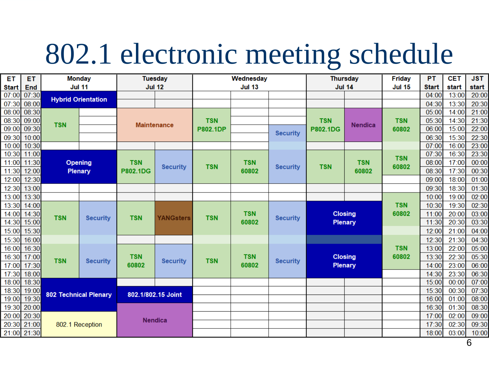# 802.1 electronic meeting schedule

| ET           | ET          | <b>Monday</b>                |                               |                    | <b>Tuesday</b>                | Wednesday     |                                        |                               | <b>Thursday</b> |                     | <b>Friday</b>       | PT    | <b>CET</b> | <b>JST</b> |
|--------------|-------------|------------------------------|-------------------------------|--------------------|-------------------------------|---------------|----------------------------------------|-------------------------------|-----------------|---------------------|---------------------|-------|------------|------------|
| <b>Start</b> | <b>End</b>  | <b>Jul 11</b>                |                               |                    | <b>Jul 12</b>                 | <b>Jul 13</b> |                                        | <b>Jul 14</b>                 |                 | <b>Jul 15</b>       | <b>Start</b>        | start | start      |            |
| 07:00        | 07:30       |                              |                               |                    |                               |               |                                        |                               |                 |                     |                     | 04:00 | 13:00      | 20:00      |
| 07:30        | 08:00       |                              | <b>Hybrid Orientation</b>     |                    |                               |               |                                        |                               |                 |                     |                     | 04:30 | 13:30      | 20:30      |
| 08:00        | 08:30       |                              |                               | <b>Maintenance</b> | <b>TSN</b><br><b>P802.1DP</b> |               |                                        |                               | <b>Nendica</b>  | <b>TSN</b><br>60802 | 05:00               | 14:00 | 21:00      |            |
| 08:30        | 09:00       | <b>TSN</b>                   |                               |                    |                               |               |                                        | <b>TSN</b><br><b>P802.1DG</b> |                 |                     | 05:30               | 14:30 | 21:30      |            |
| 09:00        | 09:30       |                              |                               |                    |                               |               | <b>Security</b>                        |                               |                 |                     | 06:00               | 15:00 | 22:00      |            |
| 09:30        | 10:00       |                              |                               |                    |                               |               |                                        |                               |                 |                     | 06:30               | 15:30 | 22:30      |            |
| 10:00        | 10:30       |                              |                               |                    |                               |               |                                        |                               |                 |                     |                     | 07:00 | 16:00      | 23:00      |
| 10:30        | 11:00       | <b>Opening</b><br>Plenary    |                               |                    |                               |               |                                        |                               | <b>TSN</b>      | <b>TSN</b>          | <b>TSN</b><br>60802 | 07:30 | 16:30      | 23:30      |
| 11:00        | 11:30       |                              |                               | <b>TSN</b>         | <b>Security</b>               | <b>TSN</b>    | <b>TSN</b><br><b>Security</b><br>60802 |                               |                 |                     |                     | 08:00 | 17:00      | 00:00      |
| 11:30        | 12:00       |                              |                               | P802.1DG           |                               |               |                                        |                               | 60802           |                     | 08:30               | 17:30 | 00:30      |            |
| 12:00        | 12:30       |                              |                               |                    |                               |               |                                        |                               |                 |                     |                     | 09:00 | 18:00      | 01:00      |
| 12:30        | 13:00       |                              |                               |                    |                               |               |                                        |                               |                 |                     |                     | 09:30 | 18:30      | 01:30      |
| 13:00        | 13:30       |                              |                               |                    |                               |               |                                        |                               |                 |                     |                     | 10:00 | 19:00      | 02:00      |
| 13:30        | 14:00       |                              | <b>TSN</b><br><b>Security</b> | <b>YANGsters</b>   | <b>TSN</b>                    | <b>TSN</b>    | <b>Security</b>                        | <b>Closing</b>                |                 | <b>TSN</b><br>60802 | 10:30               | 19:30 | 02:30      |            |
| 14:00        | 14:30       | <b>TSN</b>                   |                               |                    |                               |               |                                        |                               |                 |                     | 11:00               | 20:00 | 03:00      |            |
| 14:30        | 15:00       |                              |                               |                    |                               |               | 60802                                  |                               | <b>Plenary</b>  |                     |                     | 11:30 | 20:30      | 03:30      |
| 15:00        | 15:30       |                              |                               |                    |                               |               |                                        |                               |                 |                     |                     | 12:00 | 21:00      | 04:00      |
| 15:30        | 16:00       |                              |                               |                    |                               |               |                                        |                               |                 |                     |                     | 12:30 | 21:30      | 04:30      |
| 16:00        | 16:30       |                              |                               |                    |                               |               |                                        |                               |                 | <b>TSN</b>          | 13:00               | 22:00 | 05:00      |            |
| 16:30        | 17:00       | <b>TSN</b>                   | <b>Security</b>               | <b>TSN</b>         | <b>Security</b>               | <b>TSN</b>    | <b>TSN</b>                             | <b>Security</b>               | <b>Closing</b>  |                     | 60802               | 13:30 | 22:30      | 05:30      |
| 17:00        | 17:30       |                              |                               | 60802              |                               |               | 60802                                  |                               | <b>Plenary</b>  |                     |                     | 14:00 | 23:00      | 06:00      |
| 17:30        | 18:00       |                              |                               |                    |                               |               |                                        |                               |                 |                     |                     | 14:30 | 23:30      | 06:30      |
| 18:00        | 18:30       | <b>802 Technical Plenary</b> |                               |                    |                               |               |                                        |                               |                 |                     |                     | 15:00 | 00:00      | 07:00      |
| 18:30        | 19:00       |                              |                               |                    | 802.1/802.15 Joint            |               |                                        |                               |                 |                     |                     | 15:30 | 00:30      | 07:30      |
| 19:00        | 19:30       |                              |                               |                    |                               |               |                                        |                               |                 |                     |                     | 16:00 | 01:00      | 08:00      |
| 19:30        | 20:00       |                              |                               |                    |                               |               |                                        |                               |                 |                     |                     | 16:30 | 01:30      | 08:30      |
| 20:00        | 20:30       | 802.1 Reception              |                               |                    | <b>Nendica</b>                |               |                                        |                               |                 |                     |                     | 17:00 | 02:00      | 09:00      |
| 20:30        | 21:00       |                              |                               |                    |                               |               |                                        |                               |                 |                     |                     | 17:30 | 02:30      | 09:30      |
|              | 21:00 21:30 |                              |                               |                    |                               |               |                                        |                               |                 |                     |                     | 18:00 | 03:00      | 10:00      |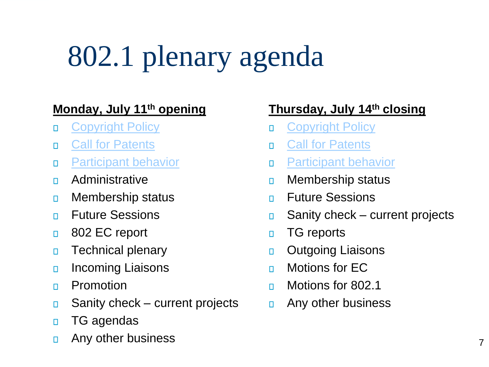# 802.1 plenary agenda

#### **Monday, July 11th opening**

- [Copyright Policy](https://standards.ieee.org/content/dam/ieee-standards/standards/web/documents/other/Copyright_Policy_for_Participants.pdf)  $\Box$
- [Call for Patents](https://mentor.ieee.org/myproject/Public/mytools/mob/slideset.pdf)  $\Box$
- [Participant behavior](https://standards.ieee.org/content/dam/ieee-standards/standards/web/documents/other/Participant-Behavior-Individual-Method.pdf)  $\Box$
- Administrative  $\Box$
- Membership status  $\Box$
- Future Sessions  $\Box$
- 802 EC report  $\Box$
- Technical plenary  $\Box$
- Incoming Liaisons  $\Box$
- Promotion  $\Box$
- Sanity check current projects  $\Box$
- TG agendas  $\Box$
- Any other business  $\Box$

#### **Thursday, July 14th closing**

- [Copyright Policy](https://standards.ieee.org/content/dam/ieee-standards/standards/web/documents/other/Copyright_Policy_for_Participants.pdf)  $\Box$
- [Call for Patents](https://development.standards.ieee.org/myproject/Public/mytools/mob/slideset.ppt)  $\Box$
- [Participant behavior](https://standards.ieee.org/content/dam/ieee-standards/standards/web/documents/other/Participant-Behavior-Individual-Method.pdf)  $\Box$
- Membership status  $\Box$
- Future Sessions  $\Box$
- Sanity check current projects  $\Box$
- TG reports  $\Box$
- Outgoing Liaisons  $\Box$
- Motions for EC  $\Box$
- Motions for 802.1  $\Box$
- Any other business  $\Box$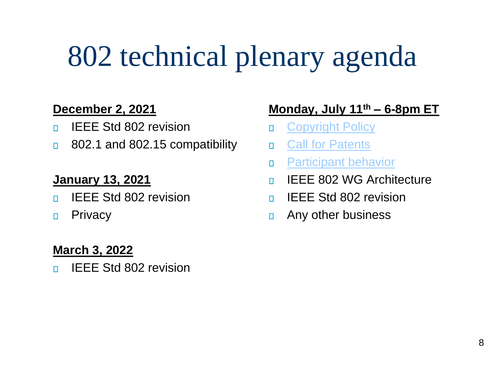# 802 technical plenary agenda

#### **December 2, 2021**

- IEEE Std 802 revision  $\Box$
- 802.1 and 802.15 compatibility  $\Box$

#### **January 13, 2021**

- IEEE Std 802 revision  $\Box$
- **Privacy**  $\Box$

#### **March 3, 2022**

IEEE Std 802 revision  $\Box$ 

#### **Monday, July 11th – 6-8pm ET**

- [Copyright Policy](https://standards.ieee.org/content/dam/ieee-standards/standards/web/documents/other/Copyright_Policy_for_Participants.pdf)  $\Box$
- [Call for Patents](https://development.standards.ieee.org/myproject/Public/mytools/mob/slideset.ppt)  $\Box$
- [Participant behavior](https://standards.ieee.org/content/dam/ieee-standards/standards/web/documents/other/Participant-Behavior-Individual-Method.pdf)  $\mathsf{H}$
- IEEE 802 WG Architecture  $\Box$
- IEEE Std 802 revision  $\Box$
- Any other business  $\Box$